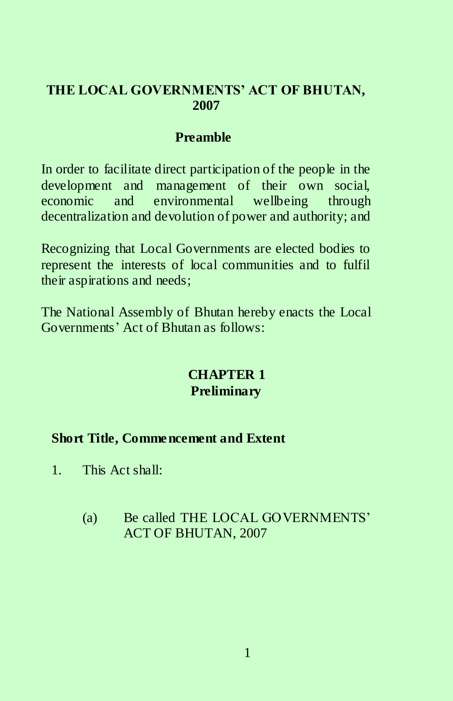### **THE LOCAL GOVERNMENTS' ACT OF BHUTAN, 2007**

## **Preamble**

In order to facilitate direct participation of the people in the development and management of their own social, economic and environmental wellbeing through decentralization and devolution of power and authority; and

Recognizing that Local Governments are elected bodies to represent the interests of local communities and to fulfil their aspirations and needs;

The National Assembly of Bhutan hereby enacts the Local Governments' Act of Bhutan as follows:

# **CHAPTER 1 Preliminary**

# **Short Title, Commencement and Extent**

- 1. This Act shall:
	- (a) Be called THE LOCAL GOVERNMENTS' ACT OF BHUTAN, 2007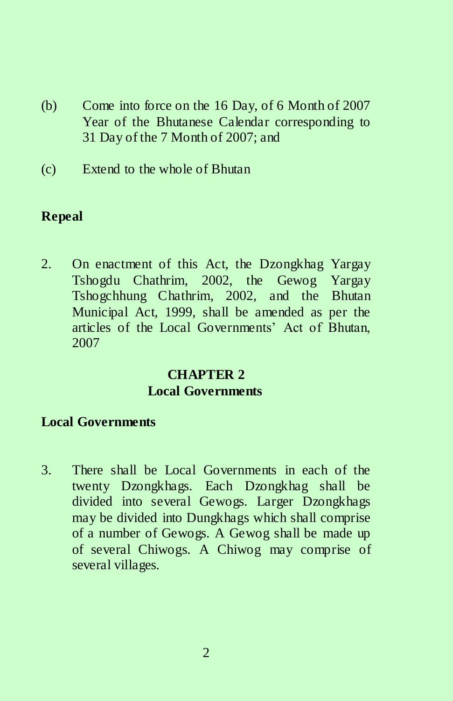- (b) Come into force on the 16 Day, of 6 Month of 2007 Year of the Bhutanese Calendar corresponding to 31 Day of the 7 Month of 2007; and
- (c) Extend to the whole of Bhutan

# **Repeal**

2. On enactment of this Act, the Dzongkhag Yargay Tshogdu Chathrim, 2002, the Gewog Yargay Tshogchhung Chathrim, 2002, and the Bhutan Municipal Act, 1999, shall be amended as per the articles of the Local Governments' Act of Bhutan, 2007

# **CHAPTER 2 Local Governments**

# **Local Governments**

3. There shall be Local Governments in each of the twenty Dzongkhags. Each Dzongkhag shall be divided into several Gewogs. Larger Dzongkhags may be divided into Dungkhags which shall comprise of a number of Gewogs. A Gewog shall be made up of several Chiwogs. A Chiwog may comprise of several villages.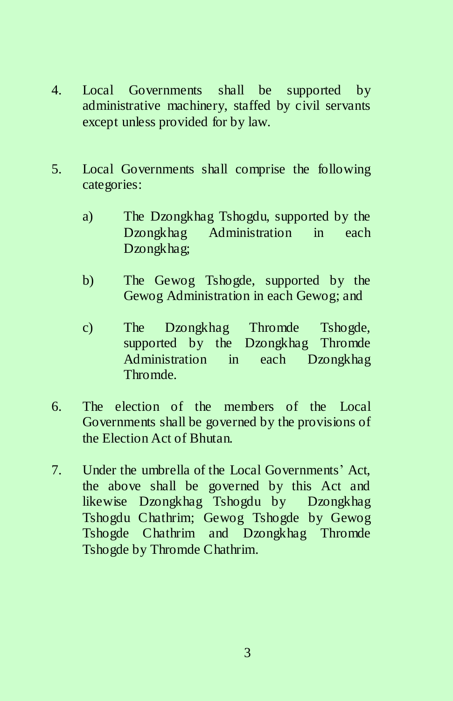- 4. Local Governments shall be supported by administrative machinery, staffed by civil servants except unless provided for by law.
- 5. Local Governments shall comprise the following categories:
	- a) The Dzongkhag Tshogdu, supported by the Dzongkhag Administration in each Dzongkhag;
	- b) The Gewog Tshogde, supported by the Gewog Administration in each Gewog; and
	- c) The Dzongkhag Thromde Tshogde, supported by the Dzongkhag Thromde Administration in each Dzongkhag Thromde.
- 6. The election of the members of the Local Governments shall be governed by the provisions of the Election Act of Bhutan.
- 7. Under the umbrella of the Local Governments' Act, the above shall be governed by this Act and likewise Dzongkhag Tshogdu by Dzongkhag Tshogdu Chathrim; Gewog Tshogde by Gewog Tshogde Chathrim and Dzongkhag Thromde Tshogde by Thromde Chathrim.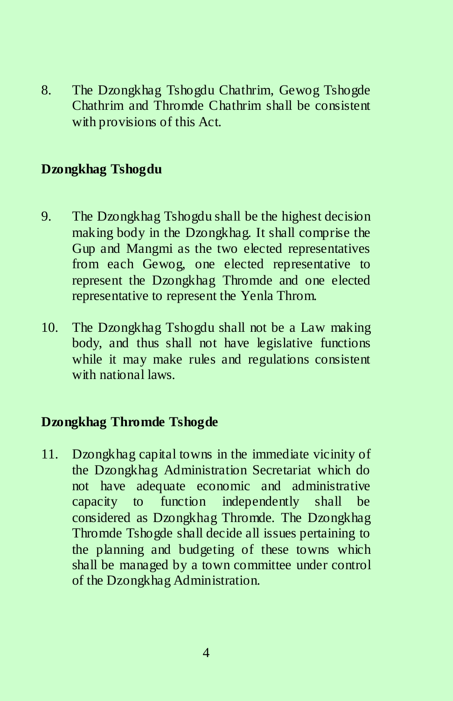8. The Dzongkhag Tshogdu Chathrim, Gewog Tshogde Chathrim and Thromde Chathrim shall be consistent with provisions of this Act.

# **Dzongkhag Tshogdu**

- 9. The Dzongkhag Tshogdu shall be the highest decision making body in the Dzongkhag. It shall comprise the Gup and Mangmi as the two elected representatives from each Gewog, one elected representative to represent the Dzongkhag Thromde and one elected representative to represent the Yenla Throm.
- 10. The Dzongkhag Tshogdu shall not be a Law making body, and thus shall not have legislative functions while it may make rules and regulations consistent with national laws.

# **Dzongkhag Thromde Tshogde**

11. Dzongkhag capital towns in the immediate vicinity of the Dzongkhag Administration Secretariat which do not have adequate economic and administrative capacity to function independently shall be considered as Dzongkhag Thromde. The Dzongkhag Thromde Tshogde shall decide all issues pertaining to the planning and budgeting of these towns which shall be managed by a town committee under control of the Dzongkhag Administration.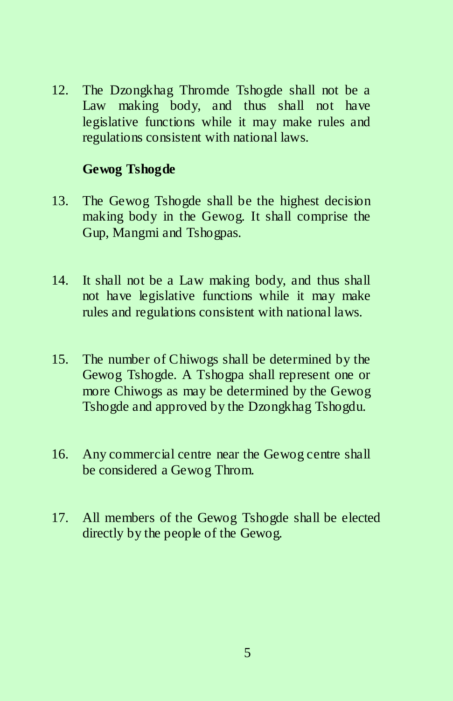12. The Dzongkhag Thromde Tshogde shall not be a Law making body, and thus shall not have legislative functions while it may make rules and regulations consistent with national laws.

### **Gewog Tshogde**

- 13. The Gewog Tshogde shall be the highest decision making body in the Gewog. It shall comprise the Gup, Mangmi and Tshogpas.
- 14. It shall not be a Law making body, and thus shall not have legislative functions while it may make rules and regulations consistent with national laws.
- 15. The number of Chiwogs shall be determined by the Gewog Tshogde. A Tshogpa shall represent one or more Chiwogs as may be determined by the Gewog Tshogde and approved by the Dzongkhag Tshogdu.
- 16. Any commercial centre near the Gewog centre shall be considered a Gewog Throm.
- 17. All members of the Gewog Tshogde shall be elected directly by the people of the Gewog.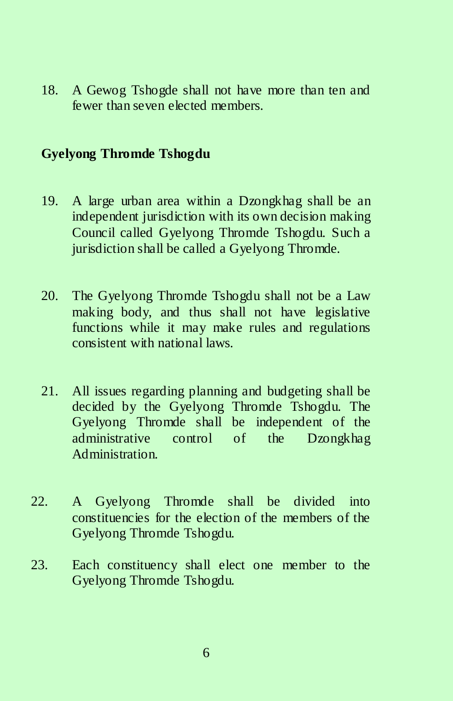18. A Gewog Tshogde shall not have more than ten and fewer than seven elected members.

#### **Gyelyong Thromde Tshogdu**

- 19. A large urban area within a Dzongkhag shall be an independent jurisdiction with its own decision making Council called Gyelyong Thromde Tshogdu. Such a jurisdiction shall be called a Gyelyong Thromde.
- 20. The Gyelyong Thromde Tshogdu shall not be a Law making body, and thus shall not have legislative functions while it may make rules and regulations consistent with national laws.
- 21. All issues regarding planning and budgeting shall be decided by the Gyelyong Thromde Tshogdu. The Gyelyong Thromde shall be independent of the administrative control of the Dzongkhag Administration.
- 22. A Gyelyong Thromde shall be divided into constituencies for the election of the members of the Gyelyong Thromde Tshogdu.
- 23. Each constituency shall elect one member to the Gyelyong Thromde Tshogdu.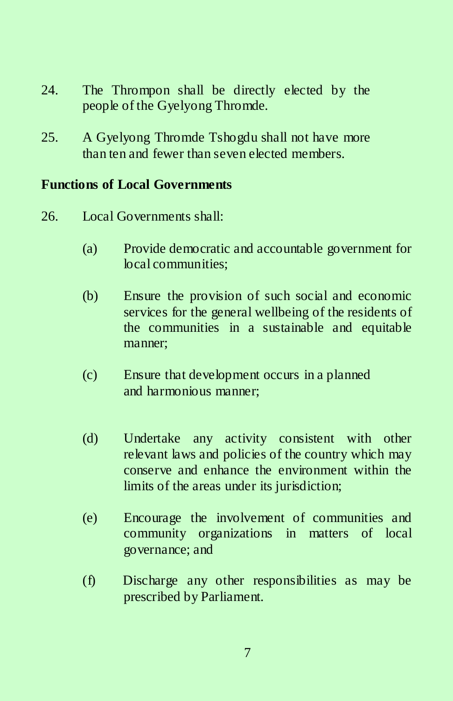- 24. The Thrompon shall be directly elected by the people of the Gyelyong Thromde.
- 25. A Gyelyong Thromde Tshogdu shall not have more than ten and fewer than seven elected members.

### **Functions of Local Governments**

- 26. Local Governments shall:
	- (a) Provide democratic and accountable government for local communities;
	- (b) Ensure the provision of such social and economic services for the general wellbeing of the residents of the communities in a sustainable and equitable manner;
	- (c) Ensure that development occurs in a planned and harmonious manner;
	- (d) Undertake any activity consistent with other relevant laws and policies of the country which may conserve and enhance the environment within the limits of the areas under its jurisdiction;
	- (e) Encourage the involvement of communities and community organizations in matters of local governance; and
	- (f) Discharge any other responsibilities as may be prescribed by Parliament.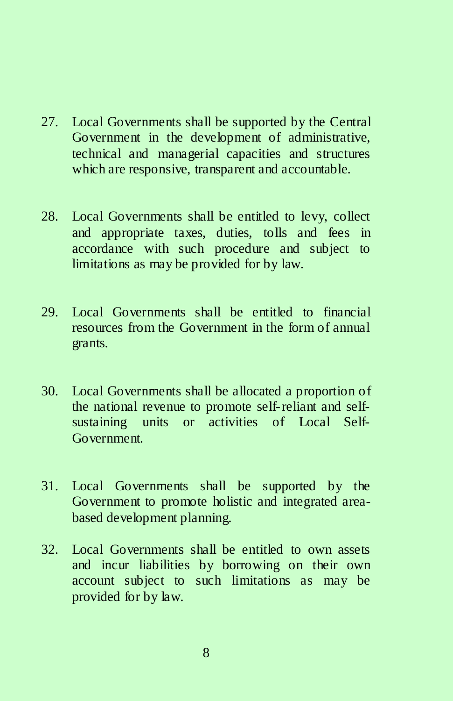- 27. Local Governments shall be supported by the Central Government in the development of administrative, technical and managerial capacities and structures which are responsive, transparent and accountable.
- 28. Local Governments shall be entitled to levy, collect and appropriate taxes, duties, tolls and fees in accordance with such procedure and subject to limitations as may be provided for by law.
- 29. Local Governments shall be entitled to financial resources from the Government in the form of annual grants.
- 30. Local Governments shall be allocated a proportion of the national revenue to promote self-reliant and selfsustaining units or activities of Local Self-Government.
- 31. Local Governments shall be supported by the Government to promote holistic and integrated areabased development planning.
- 32. Local Governments shall be entitled to own assets and incur liabilities by borrowing on their own account subject to such limitations as may be provided for by law.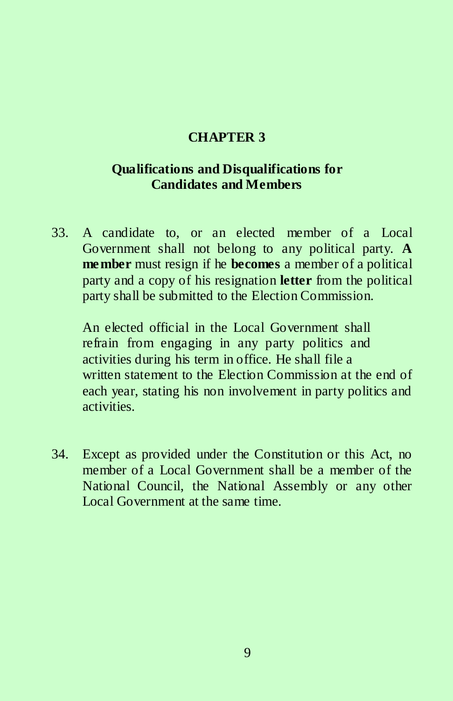### **CHAPTER 3**

# **Qualifications and Disqualifications for Candidates and Members**

33. A candidate to, or an elected member of a Local Government shall not belong to any political party. **A member** must resign if he **becomes** a member of a political party and a copy of his resignation **letter** from the political party shall be submitted to the Election Commission.

An elected official in the Local Government shall refrain from engaging in any party politics and activities during his term in office. He shall file a written statement to the Election Commission at the end of each year, stating his non involvement in party politics and activities.

34. Except as provided under the Constitution or this Act, no member of a Local Government shall be a member of the National Council, the National Assembly or any other Local Government at the same time.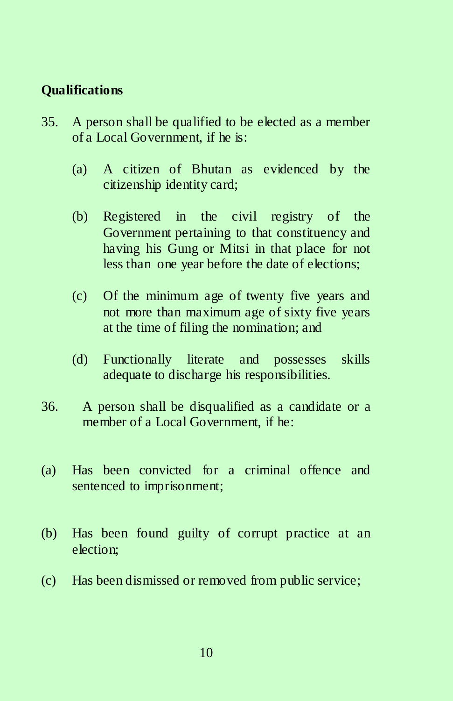### **Qualifications**

- 35. A person shall be qualified to be elected as a member of a Local Government, if he is:
	- (a) A citizen of Bhutan as evidenced by the citizenship identity card;
	- (b) Registered in the civil registry of the Government pertaining to that constituency and having his Gung or Mitsi in that place for not less than one year before the date of elections;
	- (c) Of the minimum age of twenty five years and not more than maximum age of sixty five years at the time of filing the nomination; and
	- (d) Functionally literate and possesses skills adequate to discharge his responsibilities.
- 36. A person shall be disqualified as a candidate or a member of a Local Government, if he:
- (a) Has been convicted for a criminal offence and sentenced to imprisonment;
- (b) Has been found guilty of corrupt practice at an election;
- (c) Has been dismissed or removed from public service;

10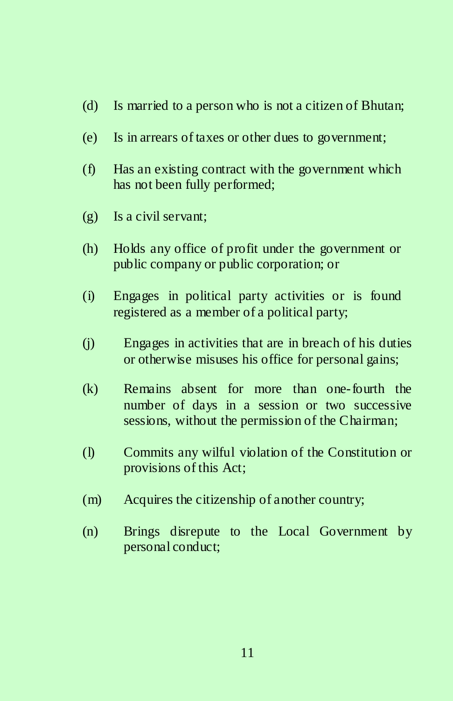- (d) Is married to a person who is not a citizen of Bhutan;
- (e) Is in arrears of taxes or other dues to government;
- (f) Has an existing contract with the government which has not been fully performed;
- (g) Is a civil servant;
- (h) Holds any office of profit under the government or public company or public corporation; or
- (i) Engages in political party activities or is found registered as a member of a political party;
- (j) Engages in activities that are in breach of his duties or otherwise misuses his office for personal gains;
- (k) Remains absent for more than one-fourth the number of days in a session or two successive sessions, without the permission of the Chairman;
- (l) Commits any wilful violation of the Constitution or provisions of this Act;
- (m) Acquires the citizenship of another country;
- (n) Brings disrepute to the Local Government by personal conduct;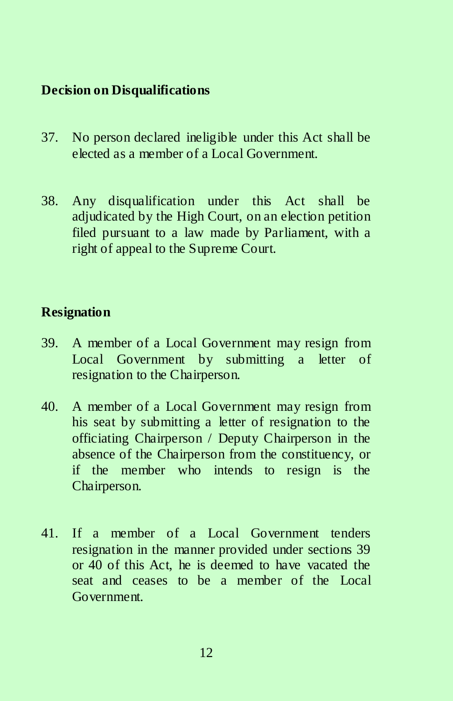### **Decision on Disqualifications**

- 37. No person declared ineligible under this Act shall be elected as a member of a Local Government.
- 38. Any disqualification under this Act shall be adjudicated by the High Court, on an election petition filed pursuant to a law made by Parliament, with a right of appeal to the Supreme Court.

### **Resignation**

- 39. A member of a Local Government may resign from Local Government by submitting a letter of resignation to the Chairperson.
- 40. A member of a Local Government may resign from his seat by submitting a letter of resignation to the officiating Chairperson / Deputy Chairperson in the absence of the Chairperson from the constituency, or if the member who intends to resign is the Chairperson.
- 41. If a member of a Local Government tenders resignation in the manner provided under sections 39 or 40 of this Act, he is deemed to have vacated the seat and ceases to be a member of the Local Government.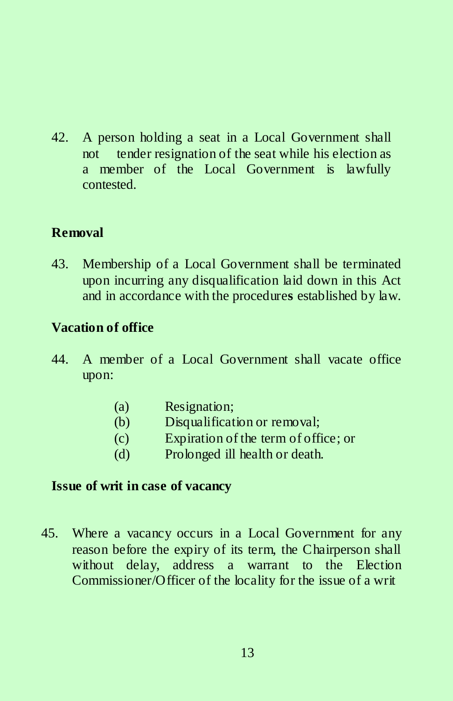42. A person holding a seat in a Local Government shall not tender resignation of the seat while his election as a member of the Local Government is lawfully contested.

# **Removal**

43. Membership of a Local Government shall be terminated upon incurring any disqualification laid down in this Act and in accordance with the procedure**s** established by law.

# **Vacation of office**

- 44. A member of a Local Government shall vacate office upon:
	- (a) Resignation;
	- (b) Disqualification or removal;
	- (c) Expiration of the term of office; or
	- (d) Prolonged ill health or death.

### **Issue of writ in case of vacancy**

45. Where a vacancy occurs in a Local Government for any reason before the expiry of its term, the Chairperson shall without delay, address a warrant to the Election Commissioner/Officer of the locality for the issue of a writ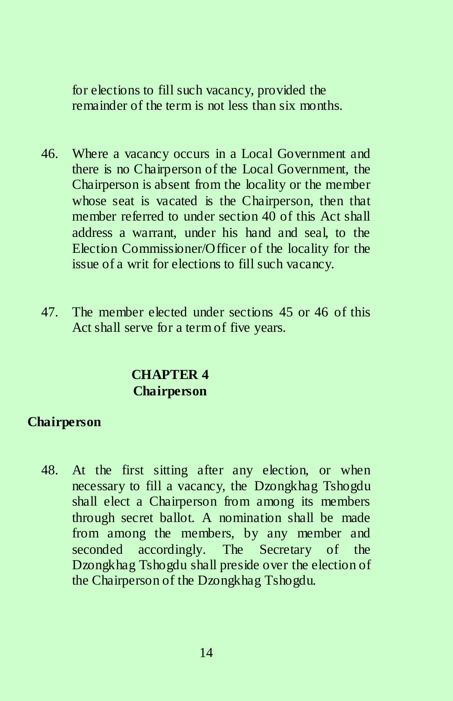for elections to fill such vacancy, provided the remainder of the term is not less than six months.

- 46. Where a vacancy occurs in a Local Government and there is no Chairperson of the Local Government, the Chairperson is absent from the locality or the member whose seat is vacated is the Chairperson, then that member referred to under section 40 of this Act shall address a warrant, under his hand and seal, to the Election Commissioner/Officer of the locality for the issue of a writ for elections to fill such vacancy.
- 47. The member elected under sections 45 or 46 of this Act shall serve for a term of five years.

# **CHAPTER 4 Chairperson**

# **Chairperson**

48. At the first sitting after any election, or when necessary to fill a vacancy, the Dzongkhag Tshogdu shall elect a Chairperson from among its members through secret ballot. A nomination shall be made from among the members, by any member and seconded accordingly. The Secretary of the Dzongkhag Tshogdu shall preside over the election of the Chairperson of the Dzongkhag Tshogdu.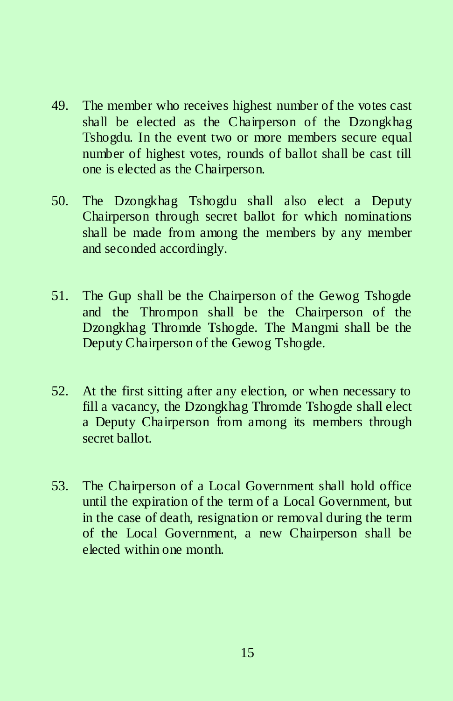- 49. The member who receives highest number of the votes cast shall be elected as the Chairperson of the Dzongkhag Tshogdu. In the event two or more members secure equal number of highest votes, rounds of ballot shall be cast till one is elected as the Chairperson.
- 50. The Dzongkhag Tshogdu shall also elect a Deputy Chairperson through secret ballot for which nominations shall be made from among the members by any member and seconded accordingly.
- 51. The Gup shall be the Chairperson of the Gewog Tshogde and the Thrompon shall be the Chairperson of the Dzongkhag Thromde Tshogde. The Mangmi shall be the Deputy Chairperson of the Gewog Tshogde.
- 52. At the first sitting after any election, or when necessary to fill a vacancy, the Dzongkhag Thromde Tshogde shall elect a Deputy Chairperson from among its members through secret ballot.
- 53. The Chairperson of a Local Government shall hold office until the expiration of the term of a Local Government, but in the case of death, resignation or removal during the term of the Local Government, a new Chairperson shall be elected within one month.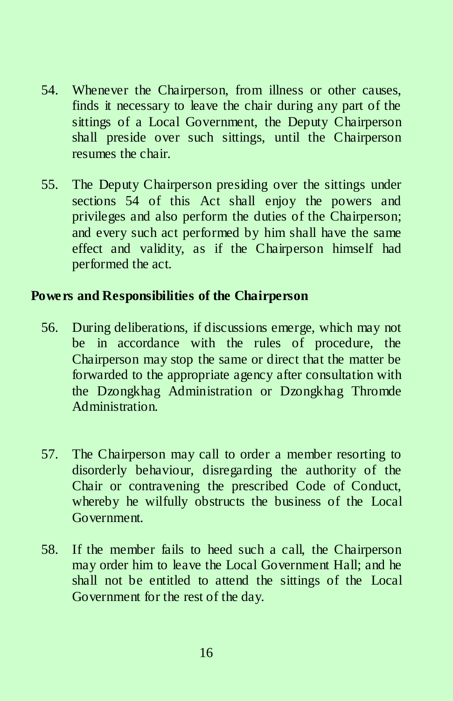- 54. Whenever the Chairperson, from illness or other causes, finds it necessary to leave the chair during any part of the sittings of a Local Government, the Deputy Chairperson shall preside over such sittings, until the Chairperson resumes the chair.
- 55. The Deputy Chairperson presiding over the sittings under sections 54 of this Act shall enjoy the powers and privileges and also perform the duties of the Chairperson; and every such act performed by him shall have the same effect and validity, as if the Chairperson himself had performed the act.

### **Powers and Responsibilities of the Chairperson**

- 56. During deliberations, if discussions emerge, which may not be in accordance with the rules of procedure, the Chairperson may stop the same or direct that the matter be forwarded to the appropriate agency after consultation with the Dzongkhag Administration or Dzongkhag Thromde Administration.
- 57. The Chairperson may call to order a member resorting to disorderly behaviour, disregarding the authority of the Chair or contravening the prescribed Code of Conduct, whereby he wilfully obstructs the business of the Local Government.
- 58. If the member fails to heed such a call, the Chairperson may order him to leave the Local Government Hall; and he shall not be entitled to attend the sittings of the Local Government for the rest of the day.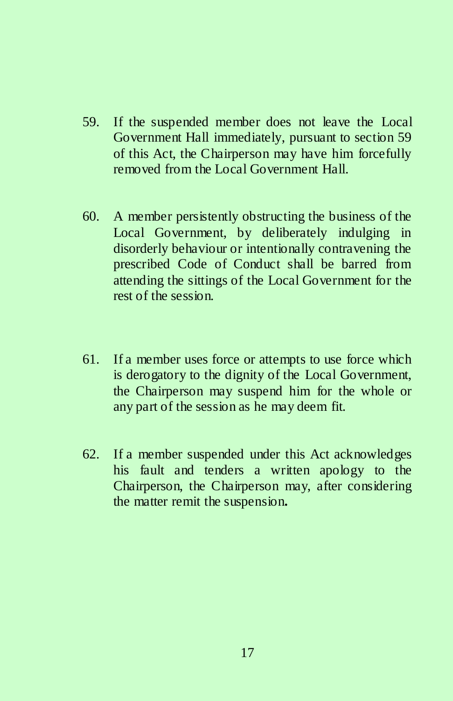- 59. If the suspended member does not leave the Local Government Hall immediately, pursuant to section 59 of this Act, the Chairperson may have him forcefully removed from the Local Government Hall.
- 60. A member persistently obstructing the business of the Local Government, by deliberately indulging in disorderly behaviour or intentionally contravening the prescribed Code of Conduct shall be barred from attending the sittings of the Local Government for the rest of the session.
- 61. If a member uses force or attempts to use force which is derogatory to the dignity of the Local Government, the Chairperson may suspend him for the whole or any part of the session as he may deem fit.
- 62. If a member suspended under this Act acknowledges his fault and tenders a written apology to the Chairperson, the Chairperson may, after considering the matter remit the suspension**.**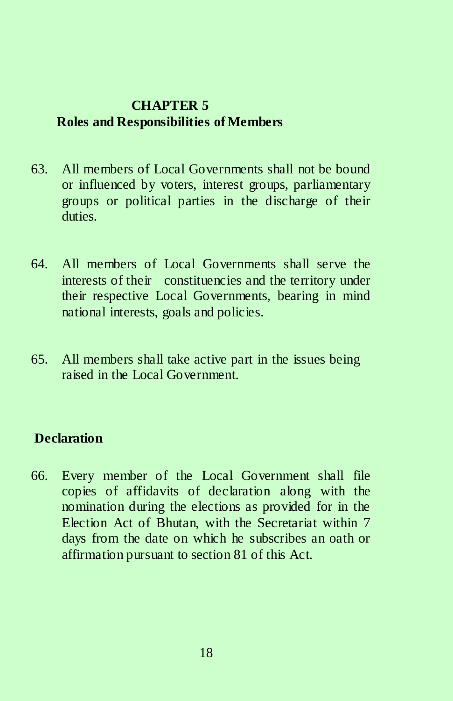# **CHAPTER 5 Roles and Responsibilities of Members**

- 63. All members of Local Governments shall not be bound or influenced by voters, interest groups, parliamentary groups or political parties in the discharge of their duties.
- 64. All members of Local Governments shall serve the interests of their constituencies and the territory under their respective Local Governments, bearing in mind national interests, goals and policies.
- 65. All members shall take active part in the issues being raised in the Local Government.

# **Declaration**

66. Every member of the Local Government shall file copies of affidavits of declaration along with the nomination during the elections as provided for in the Election Act of Bhutan, with the Secretariat within 7 days from the date on which he subscribes an oath or affirmation pursuant to section 81 of this Act.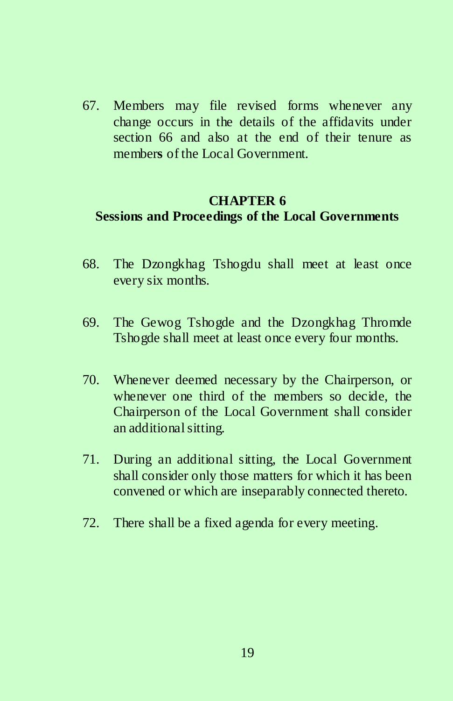67. Members may file revised forms whenever any change occurs in the details of the affidavits under section 66 and also at the end of their tenure as member**s** of the Local Government.

### **CHAPTER 6 Sessions and Proceedings of the Local Governments**

- 68. The Dzongkhag Tshogdu shall meet at least once every six months.
- 69. The Gewog Tshogde and the Dzongkhag Thromde Tshogde shall meet at least once every four months.
- 70. Whenever deemed necessary by the Chairperson, or whenever one third of the members so decide, the Chairperson of the Local Government shall consider an additional sitting.
- 71. During an additional sitting, the Local Government shall consider only those matters for which it has been convened or which are inseparably connected thereto.
- 72. There shall be a fixed agenda for every meeting.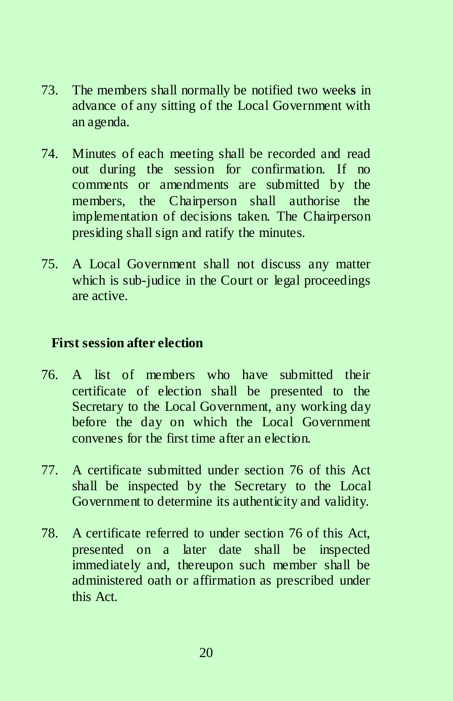- 73. The members shall normally be notified two week**s** in advance of any sitting of the Local Government with an agenda.
- 74. Minutes of each meeting shall be recorded and read out during the session for confirmation. If no comments or amendments are submitted by the members, the Chairperson shall authorise the implementation of decisions taken. The Chairperson presiding shall sign and ratify the minutes.
- 75. A Local Government shall not discuss any matter which is sub-judice in the Court or legal proceedings are active.

## **First session after election**

- 76. A list of members who have submitted their certificate of election shall be presented to the Secretary to the Local Government, any working day before the day on which the Local Government convenes for the first time after an election.
- 77. A certificate submitted under section 76 of this Act shall be inspected by the Secretary to the Local Government to determine its authenticity and validity.
- 78. A certificate referred to under section 76 of this Act, presented on a later date shall be inspected immediately and, thereupon such member shall be administered oath or affirmation as prescribed under this Act.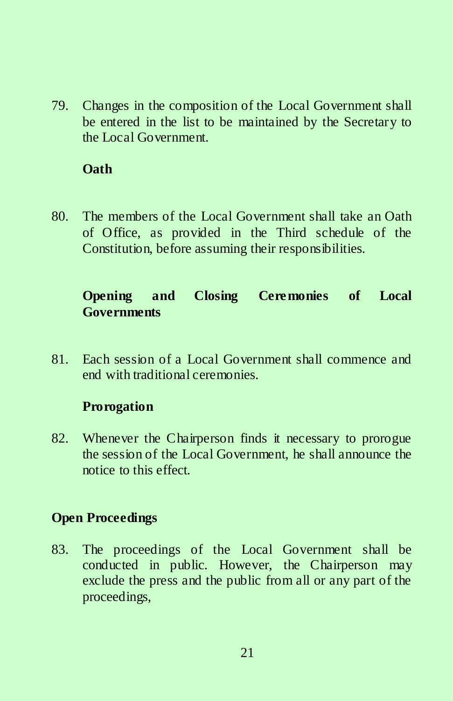79. Changes in the composition of the Local Government shall be entered in the list to be maintained by the Secretary to the Local Government.

# **Oath**

80. The members of the Local Government shall take an Oath of Office, as provided in the Third schedule of the Constitution, before assuming their responsibilities.

# **Opening and Closing Ceremonies of Local Governments**

81. Each session of a Local Government shall commence and end with traditional ceremonies.

# **Prorogation**

82. Whenever the Chairperson finds it necessary to prorogue the session of the Local Government, he shall announce the notice to this effect.

### **Open Proceedings**

83. The proceedings of the Local Government shall be conducted in public. However, the Chairperson may exclude the press and the public from all or any part of the proceedings,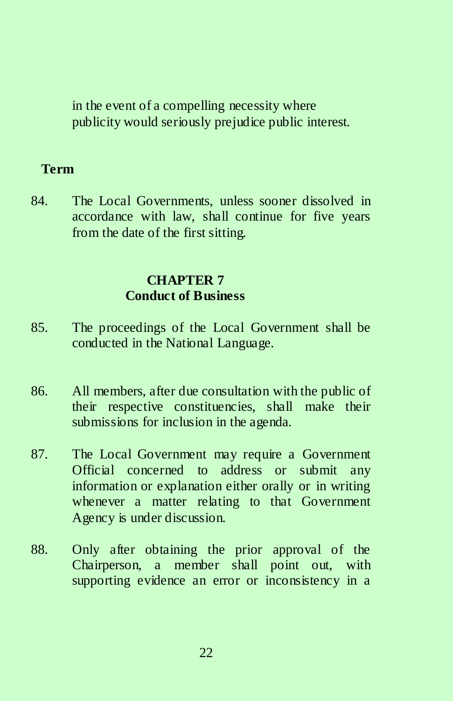in the event of a compelling necessity where publicity would seriously prejudice public interest.

#### **Term**

84. The Local Governments, unless sooner dissolved in accordance with law, shall continue for five years from the date of the first sitting.

### **CHAPTER 7 Conduct of Business**

- 85. The proceedings of the Local Government shall be conducted in the National Language.
- 86. All members, after due consultation with the public of their respective constituencies, shall make their submissions for inclusion in the agenda.
- 87. The Local Government may require a Government Official concerned to address or submit any information or explanation either orally or in writing whenever a matter relating to that Government Agency is under discussion.
- 88. Only after obtaining the prior approval of the Chairperson, a member shall point out, with supporting evidence an error or inconsistency in a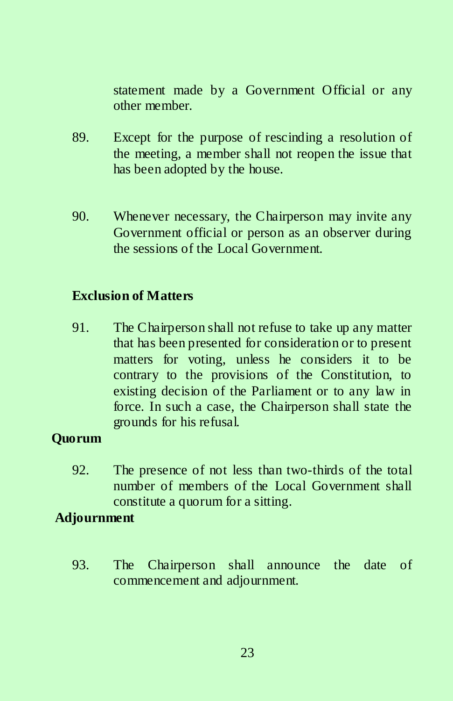statement made by a Government Official or any other member.

- 89. Except for the purpose of rescinding a resolution of the meeting, a member shall not reopen the issue that has been adopted by the house.
- 90. Whenever necessary, the Chairperson may invite any Government official or person as an observer during the sessions of the Local Government.

## **Exclusion of Matters**

91. The Chairperson shall not refuse to take up any matter that has been presented for consideration or to present matters for voting, unless he considers it to be contrary to the provisions of the Constitution, to existing decision of the Parliament or to any law in force. In such a case, the Chairperson shall state the grounds for his refusal.

# **Quorum**

92. The presence of not less than two-thirds of the total number of members of the Local Government shall constitute a quorum for a sitting.

### **Adjournment**

93. The Chairperson shall announce the date of commencement and adjournment.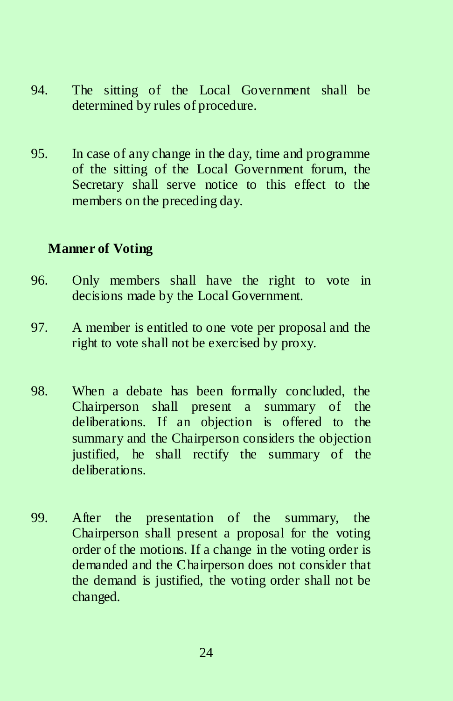- 94. The sitting of the Local Government shall be determined by rules of procedure.
- 95. In case of any change in the day, time and programme of the sitting of the Local Government forum, the Secretary shall serve notice to this effect to the members on the preceding day.

### **Manner of Voting**

- 96. Only members shall have the right to vote in decisions made by the Local Government.
- 97. A member is entitled to one vote per proposal and the right to vote shall not be exercised by proxy.
- 98. When a debate has been formally concluded, the Chairperson shall present a summary of the deliberations. If an objection is offered to the summary and the Chairperson considers the objection justified, he shall rectify the summary of the deliberations.
- 99. After the presentation of the summary, the Chairperson shall present a proposal for the voting order of the motions. If a change in the voting order is demanded and the Chairperson does not consider that the demand is justified, the voting order shall not be changed.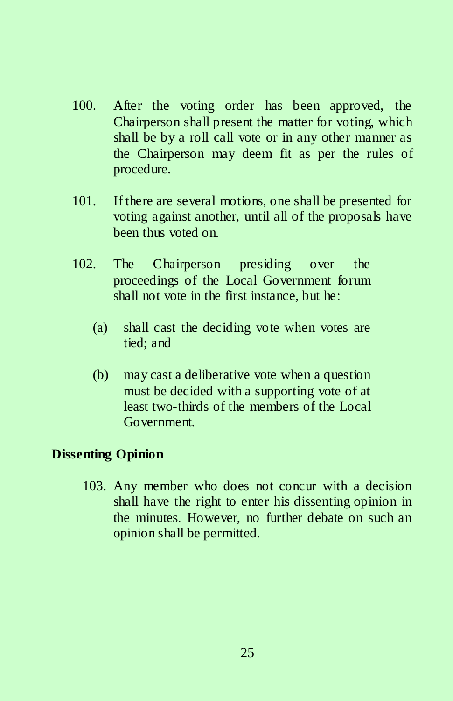- 100. After the voting order has been approved, the Chairperson shall present the matter for voting, which shall be by a roll call vote or in any other manner as the Chairperson may deem fit as per the rules of procedure.
- 101. If there are several motions, one shall be presented for voting against another, until all of the proposals have been thus voted on.
- 102. The Chairperson presiding over the proceedings of the Local Government forum shall not vote in the first instance, but he:
	- (a) shall cast the deciding vote when votes are tied; and
	- (b) may cast a deliberative vote when a question must be decided with a supporting vote of at least two-thirds of the members of the Local Government.

# **Dissenting Opinion**

103. Any member who does not concur with a decision shall have the right to enter his dissenting opinion in the minutes. However, no further debate on such an opinion shall be permitted.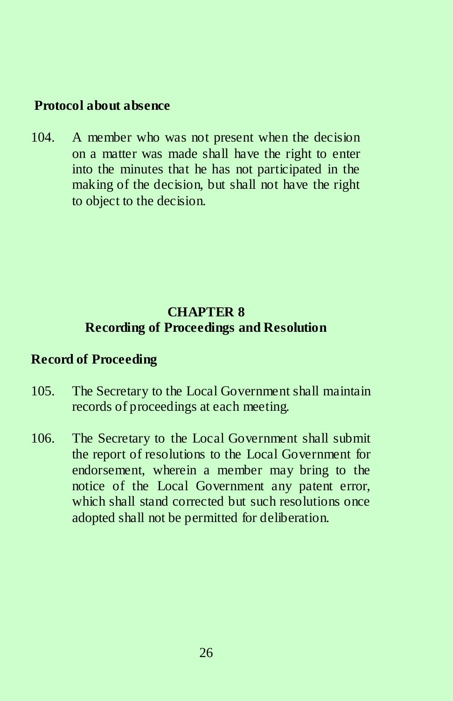### **Protocol about absence**

104. A member who was not present when the decision on a matter was made shall have the right to enter into the minutes that he has not participated in the making of the decision, but shall not have the right to object to the decision.

# **CHAPTER 8 Recording of Proceedings and Resolution**

### **Record of Proceeding**

- 105. The Secretary to the Local Government shall maintain records of proceedings at each meeting.
- 106. The Secretary to the Local Government shall submit the report of resolutions to the Local Government for endorsement, wherein a member may bring to the notice of the Local Government any patent error, which shall stand corrected but such resolutions once adopted shall not be permitted for deliberation.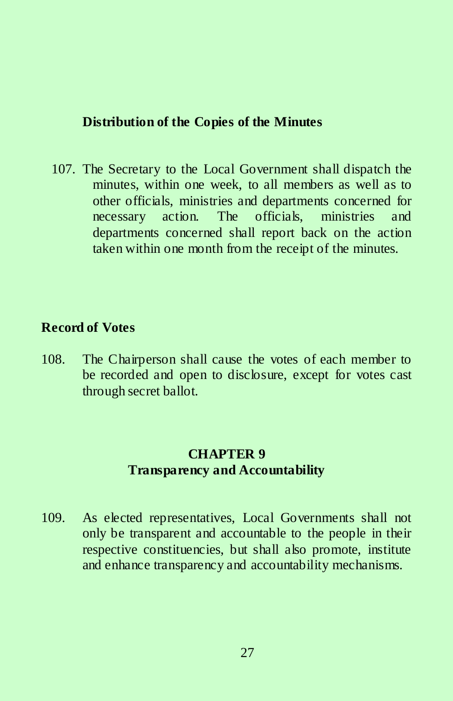### **Distribution of the Copies of the Minutes**

107. The Secretary to the Local Government shall dispatch the minutes, within one week, to all members as well as to other officials, ministries and departments concerned for necessary action. The officials, ministries and departments concerned shall report back on the action taken within one month from the receipt of the minutes.

### **Record of Votes**

108. The Chairperson shall cause the votes of each member to be recorded and open to disclosure, except for votes cast through secret ballot.

# **CHAPTER 9 Transparency and Accountability**

109. As elected representatives, Local Governments shall not only be transparent and accountable to the people in their respective constituencies, but shall also promote, institute and enhance transparency and accountability mechanisms.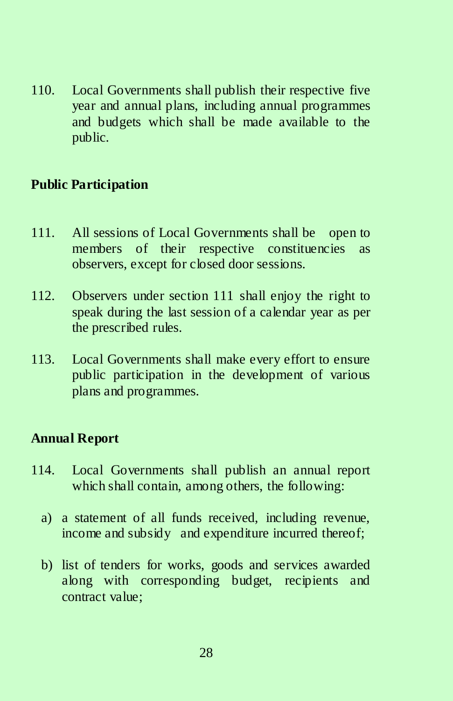110. Local Governments shall publish their respective five year and annual plans, including annual programmes and budgets which shall be made available to the public.

### **Public Participation**

- 111. All sessions of Local Governments shall be open to members of their respective constituencies as observers, except for closed door sessions.
- 112. Observers under section 111 shall enjoy the right to speak during the last session of a calendar year as per the prescribed rules.
- 113. Local Governments shall make every effort to ensure public participation in the development of various plans and programmes.

### **Annual Report**

- 114. Local Governments shall publish an annual report which shall contain, among others, the following:
	- a) a statement of all funds received, including revenue, income and subsidy and expenditure incurred thereof;
	- b) list of tenders for works, goods and services awarded along with corresponding budget, recipients and contract value;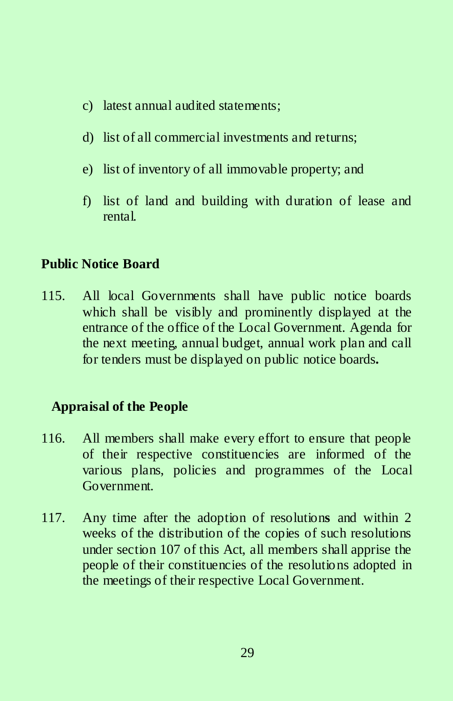- c) latest annual audited statements;
- d) list of all commercial investments and returns;
- e) list of inventory of all immovable property; and
- f) list of land and building with duration of lease and rental.

# **Public Notice Board**

115. All local Governments shall have public notice boards which shall be visibly and prominently displayed at the entrance of the office of the Local Government. Agenda for the next meeting, annual budget, annual work plan and call for tenders must be displayed on public notice boards**.** 

# **Appraisal of the People**

- 116. All members shall make every effort to ensure that people of their respective constituencies are informed of the various plans, policies and programmes of the Local Government.
- 117. Any time after the adoption of resolution**s** and within 2 weeks of the distribution of the copies of such resolutions under section 107 of this Act, all members shall apprise the people of their constituencies of the resolutions adopted in the meetings of their respective Local Government.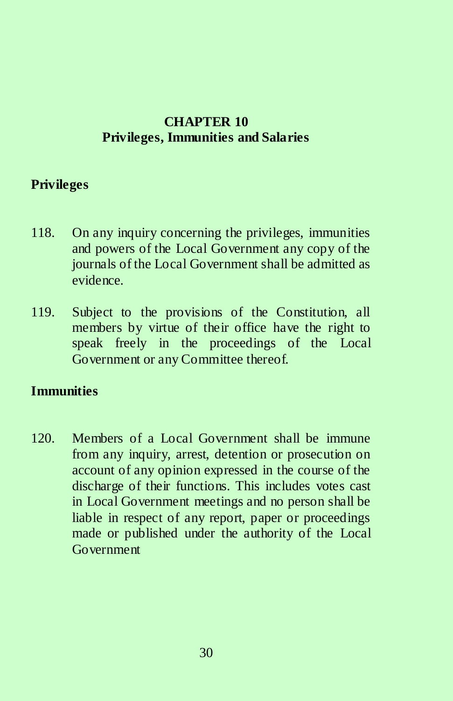# **CHAPTER 10 Privileges, Immunities and Salaries**

### **Privileges**

- 118. On any inquiry concerning the privileges, immunities and powers of the Local Government any copy of the journals of the Local Government shall be admitted as evidence.
- 119. Subject to the provisions of the Constitution, all members by virtue of their office have the right to speak freely in the proceedings of the Local Government or any Committee thereof.

### **Immunities**

120. Members of a Local Government shall be immune from any inquiry, arrest, detention or prosecution on account of any opinion expressed in the course of the discharge of their functions. This includes votes cast in Local Government meetings and no person shall be liable in respect of any report, paper or proceedings made or published under the authority of the Local Government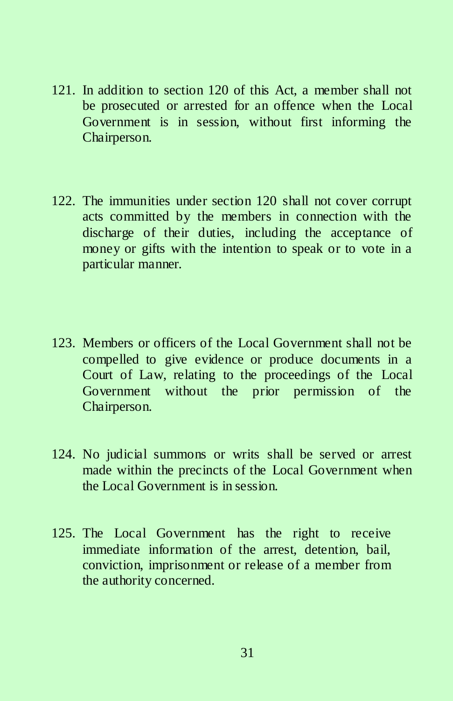- 121. In addition to section 120 of this Act, a member shall not be prosecuted or arrested for an offence when the Local Government is in session, without first informing the Chairperson.
- 122. The immunities under section 120 shall not cover corrupt acts committed by the members in connection with the discharge of their duties, including the acceptance of money or gifts with the intention to speak or to vote in a particular manner.
- 123. Members or officers of the Local Government shall not be compelled to give evidence or produce documents in a Court of Law, relating to the proceedings of the Local Government without the prior permission of the Chairperson.
- 124. No judicial summons or writs shall be served or arrest made within the precincts of the Local Government when the Local Government is in session.
- 125. The Local Government has the right to receive immediate information of the arrest, detention, bail, conviction, imprisonment or release of a member from the authority concerned.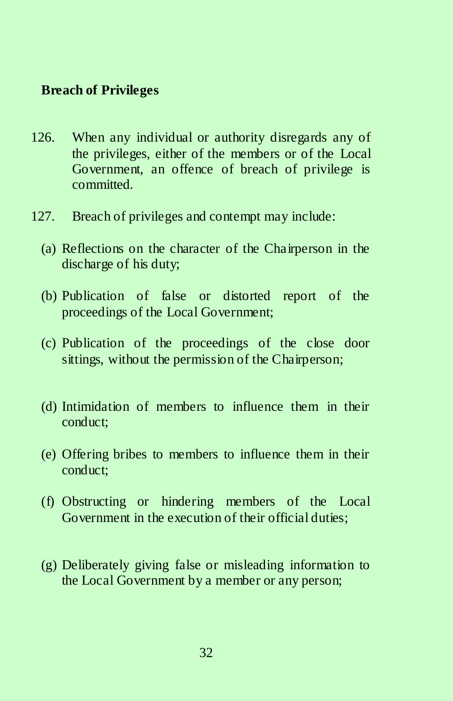#### **Breach of Privileges**

- 126. When any individual or authority disregards any of the privileges, either of the members or of the Local Government, an offence of breach of privilege is committed.
- 127. Breach of privileges and contempt may include:
	- (a) Reflections on the character of the Chairperson in the discharge of his duty;
	- (b) Publication of false or distorted report of the proceedings of the Local Government;
	- (c) Publication of the proceedings of the close door sittings, without the permission of the Chairperson;
	- (d) Intimidation of members to influence them in their conduct;
	- (e) Offering bribes to members to influence them in their conduct;
	- (f) Obstructing or hindering members of the Local Government in the execution of their official duties;
	- (g) Deliberately giving false or misleading information to the Local Government by a member or any person;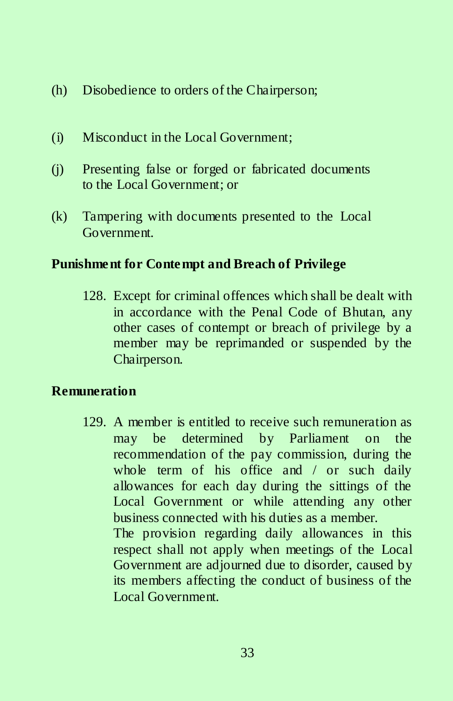- (h) Disobedience to orders of the Chairperson;
- (i) Misconduct in the Local Government;
- (j) Presenting false or forged or fabricated documents to the Local Government; or
- (k) Tampering with documents presented to the Local Government.

# **Punishment for Contempt and Breach of Privilege**

128. Except for criminal offences which shall be dealt with in accordance with the Penal Code of Bhutan, any other cases of contempt or breach of privilege by a member may be reprimanded or suspended by the Chairperson.

# **Remuneration**

129. A member is entitled to receive such remuneration as may be determined by Parliament on the recommendation of the pay commission, during the whole term of his office and / or such daily allowances for each day during the sittings of the Local Government or while attending any other business connected with his duties as a member. The provision regarding daily allowances in this respect shall not apply when meetings of the Local Government are adjourned due to disorder, caused by

its members affecting the conduct of business of the Local Government.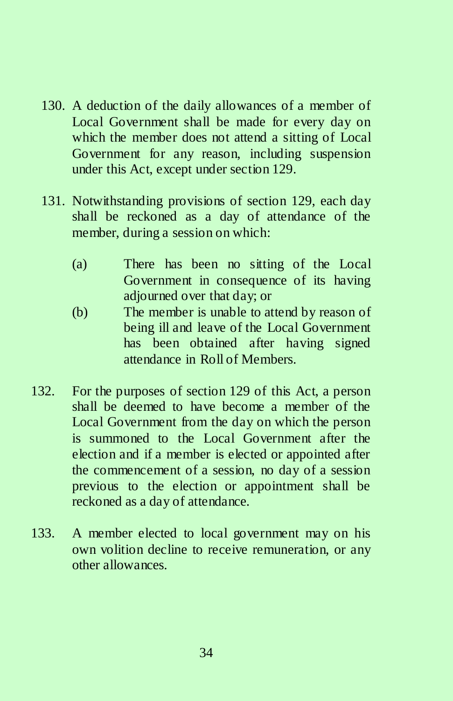- 130. A deduction of the daily allowances of a member of Local Government shall be made for every day on which the member does not attend a sitting of Local Government for any reason, including suspension under this Act, except under section 129.
- 131. Notwithstanding provisions of section 129, each day shall be reckoned as a day of attendance of the member, during a session on which:
	- (a) There has been no sitting of the Local Government in consequence of its having adjourned over that day; or
	- (b) The member is unable to attend by reason of being ill and leave of the Local Government has been obtained after having signed attendance in Roll of Members.
- 132. For the purposes of section 129 of this Act, a person shall be deemed to have become a member of the Local Government from the day on which the person is summoned to the Local Government after the election and if a member is elected or appointed after the commencement of a session, no day of a session previous to the election or appointment shall be reckoned as a day of attendance.
- 133. A member elected to local government may on his own volition decline to receive remuneration, or any other allowances.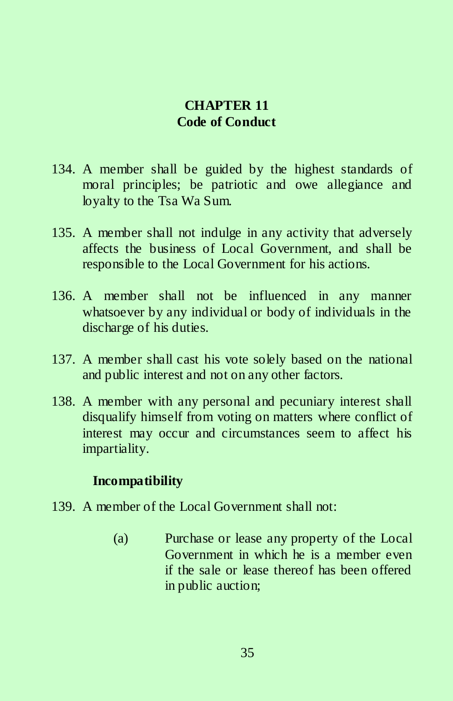# **CHAPTER 11 Code of Conduct**

- 134. A member shall be guided by the highest standards of moral principles; be patriotic and owe allegiance and loyalty to the Tsa Wa Sum.
- 135. A member shall not indulge in any activity that adversely affects the business of Local Government, and shall be responsible to the Local Government for his actions.
- 136. A member shall not be influenced in any manner whatsoever by any individual or body of individuals in the discharge of his duties.
- 137. A member shall cast his vote solely based on the national and public interest and not on any other factors.
- 138. A member with any personal and pecuniary interest shall disqualify himself from voting on matters where conflict of interest may occur and circumstances seem to affect his impartiality.

# **Incompatibility**

- 139. A member of the Local Government shall not:
	- (a) Purchase or lease any property of the Local Government in which he is a member even if the sale or lease thereof has been offered in public auction;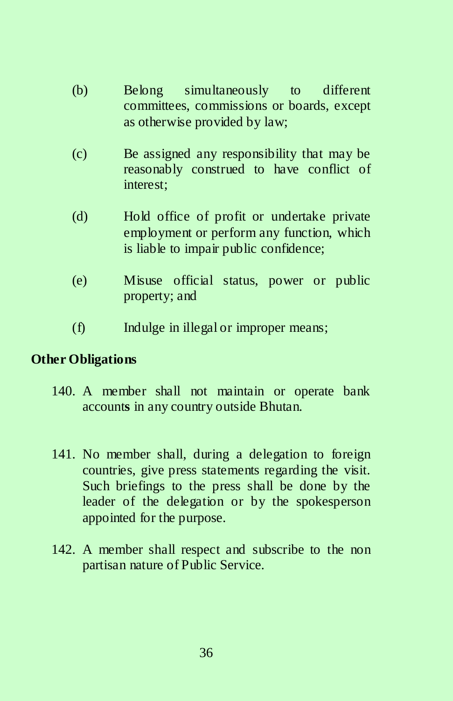- (b) Belong simultaneously to different committees, commissions or boards, except as otherwise provided by law;
- (c) Be assigned any responsibility that may be reasonably construed to have conflict of interest;
- (d) Hold office of profit or undertake private employment or perform any function, which is liable to impair public confidence;
- (e) Misuse official status, power or public property; and
- (f) Indulge in illegal or improper means;

### **Other Obligations**

- 140. A member shall not maintain or operate bank account**s** in any country outside Bhutan.
- 141. No member shall, during a delegation to foreign countries, give press statements regarding the visit. Such briefings to the press shall be done by the leader of the delegation or by the spokesperson appointed for the purpose.
- 142. A member shall respect and subscribe to the non partisan nature of Public Service.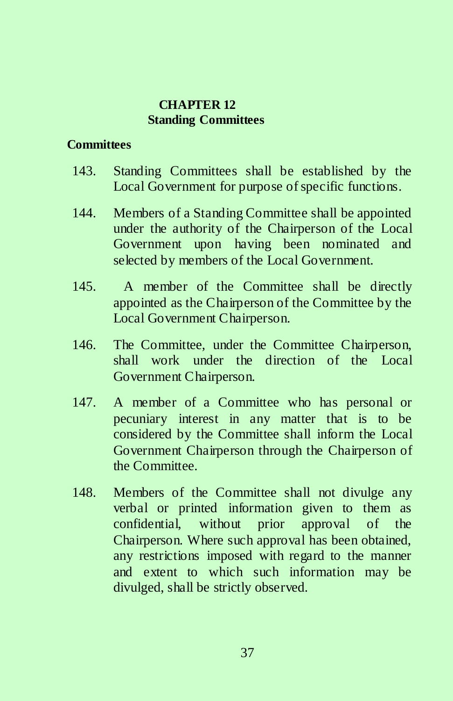#### **CHAPTER 12 Standing Committees**

### **Committees**

- 143. Standing Committees shall be established by the Local Government for purpose of specific functions.
- 144. Members of a Standing Committee shall be appointed under the authority of the Chairperson of the Local Government upon having been nominated and selected by members of the Local Government.
- 145. A member of the Committee shall be directly appointed as the Chairperson of the Committee by the Local Government Chairperson.
- 146. The Committee, under the Committee Chairperson, shall work under the direction of the Local Government Chairperson.
- 147. A member of a Committee who has personal or pecuniary interest in any matter that is to be considered by the Committee shall inform the Local Government Chairperson through the Chairperson of the Committee.
- 148. Members of the Committee shall not divulge any verbal or printed information given to them as confidential, without prior approval of the Chairperson. Where such approval has been obtained, any restrictions imposed with regard to the manner and extent to which such information may be divulged, shall be strictly observed.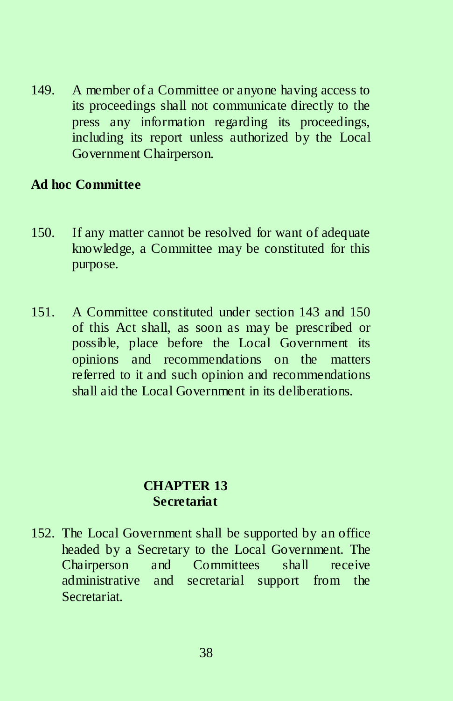149. A member of a Committee or anyone having access to its proceedings shall not communicate directly to the press any information regarding its proceedings, including its report unless authorized by the Local Government Chairperson.

#### **Ad hoc Committee**

- 150. If any matter cannot be resolved for want of adequate knowledge, a Committee may be constituted for this purpose.
- 151. A Committee constituted under section 143 and 150 of this Act shall, as soon as may be prescribed or possible, place before the Local Government its opinions and recommendations on the matters referred to it and such opinion and recommendations shall aid the Local Government in its deliberations.

### **CHAPTER 13 Secretariat**

152. The Local Government shall be supported by an office headed by a Secretary to the Local Government. The Chairperson and Committees shall receive administrative and secretarial support from the Secretariat.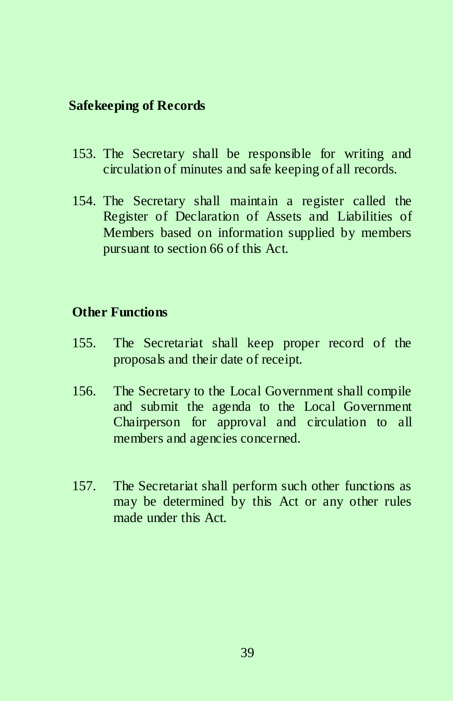## **Safekeeping of Records**

- 153. The Secretary shall be responsible for writing and circulation of minutes and safe keeping of all records.
- 154. The Secretary shall maintain a register called the Register of Declaration of Assets and Liabilities of Members based on information supplied by members pursuant to section 66 of this Act.

#### **Other Functions**

- 155. The Secretariat shall keep proper record of the proposals and their date of receipt.
- 156. The Secretary to the Local Government shall compile and submit the agenda to the Local Government Chairperson for approval and circulation to all members and agencies concerned.
- 157. The Secretariat shall perform such other functions as may be determined by this Act or any other rules made under this Act.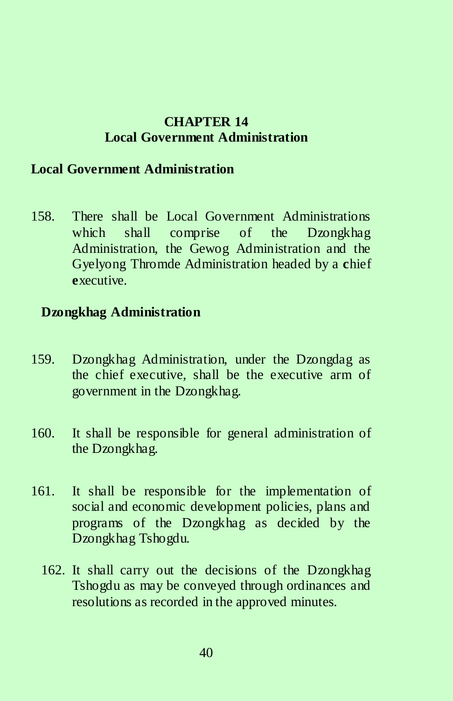### **CHAPTER 14 Local Government Administration**

#### **Local Government Administration**

158. There shall be Local Government Administrations which shall comprise of the Dzongkhag Administration, the Gewog Administration and the Gyelyong Thromde Administration headed by a **c**hief **e**xecutive.

#### **Dzongkhag Administration**

- 159. Dzongkhag Administration, under the Dzongdag as the chief executive, shall be the executive arm of government in the Dzongkhag.
- 160. It shall be responsible for general administration of the Dzongkhag.
- 161. It shall be responsible for the implementation of social and economic development policies, plans and programs of the Dzongkhag as decided by the Dzongkhag Tshogdu.
	- 162. It shall carry out the decisions of the Dzongkhag Tshogdu as may be conveyed through ordinances and resolutions as recorded in the approved minutes.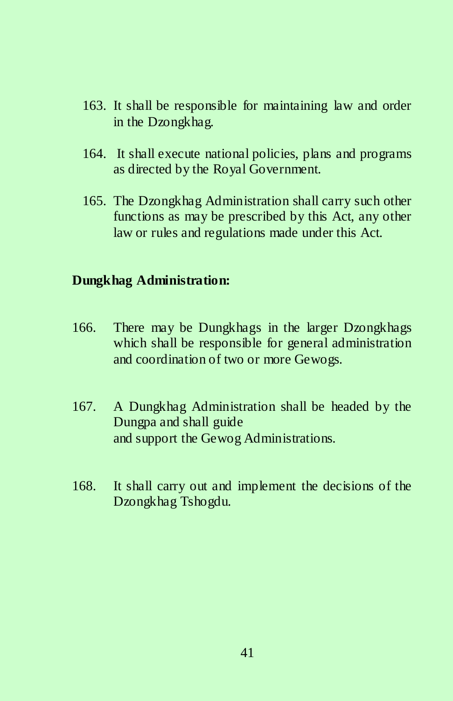- 163. It shall be responsible for maintaining law and order in the Dzongkhag.
- 164. It shall execute national policies, plans and programs as directed by the Royal Government.
- 165. The Dzongkhag Administration shall carry such other functions as may be prescribed by this Act, any other law or rules and regulations made under this Act.

### **Dungkhag Administration:**

- 166. There may be Dungkhags in the larger Dzongkhags which shall be responsible for general administration and coordination of two or more Gewogs.
- 167. A Dungkhag Administration shall be headed by the Dungpa and shall guide and support the Gewog Administrations.
- 168. It shall carry out and implement the decisions of the Dzongkhag Tshogdu.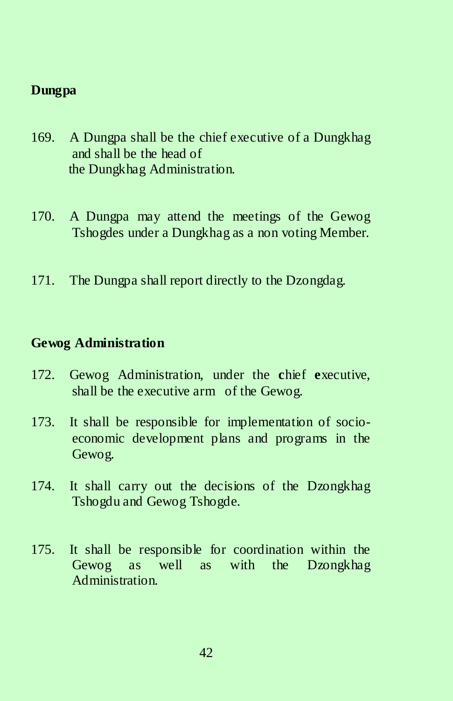# **Dungpa**

- 169. A Dungpa shall be the chief executive of a Dungkhag and shall be the head of the Dungkhag Administration.
- 170. A Dungpa may attend the meetings of the Gewog Tshogdes under a Dungkhag as a non voting Member.
- 171. The Dungpa shall report directly to the Dzongdag.

#### **Gewog Administration**

- 172. Gewog Administration, under the **c**hief **e**xecutive, shall be the executive arm of the Gewog.
- 173. It shall be responsible for implementation of socioeconomic development plans and programs in the Gewog.
- 174. It shall carry out the decisions of the Dzongkhag Tshogdu and Gewog Tshogde.
- 175. It shall be responsible for coordination within the Gewog as well as with the Dzongkhag Administration.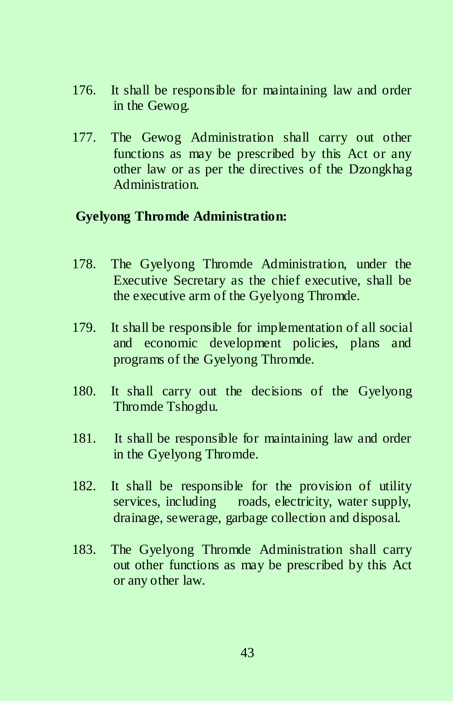- 176. It shall be responsible for maintaining law and order in the Gewog.
- 177. The Gewog Administration shall carry out other functions as may be prescribed by this Act or any other law or as per the directives of the Dzongkhag Administration.

### **Gyelyong Thromde Administration:**

- 178. The Gyelyong Thromde Administration, under the Executive Secretary as the chief executive, shall be the executive arm of the Gyelyong Thromde.
- 179. It shall be responsible for implementation of all social and economic development policies, plans and programs of the Gyelyong Thromde.
- 180. It shall carry out the decisions of the Gyelyong Thromde Tshogdu.
- 181. It shall be responsible for maintaining law and order in the Gyelyong Thromde.
- 182. It shall be responsible for the provision of utility services, including roads, electricity, water supply, drainage, sewerage, garbage collection and disposal.
- 183. The Gyelyong Thromde Administration shall carry out other functions as may be prescribed by this Act or any other law.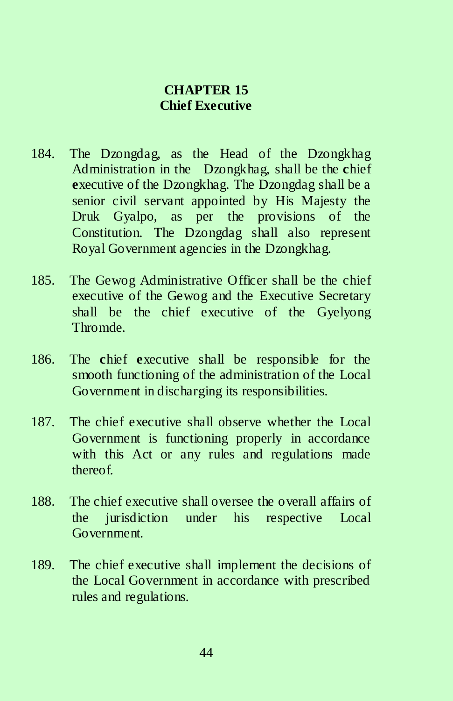## **CHAPTER 15 Chief Executive**

- 184. The Dzongdag, as the Head of the Dzongkhag Administration in the Dzongkhag, shall be the **c**hief **e**xecutive of the Dzongkhag. The Dzongdag shall be a senior civil servant appointed by His Majesty the Druk Gyalpo, as per the provisions of the Constitution. The Dzongdag shall also represent Royal Government agencies in the Dzongkhag.
- 185. The Gewog Administrative Officer shall be the chief executive of the Gewog and the Executive Secretary shall be the chief executive of the Gyelyong Thromde.
- 186. The **c**hief **e**xecutive shall be responsible for the smooth functioning of the administration of the Local Government in discharging its responsibilities.
- 187. The chief executive shall observe whether the Local Government is functioning properly in accordance with this Act or any rules and regulations made thereof.
- 188. The chief executive shall oversee the overall affairs of the jurisdiction under his respective Local Government.
- 189. The chief executive shall implement the decisions of the Local Government in accordance with prescribed rules and regulations.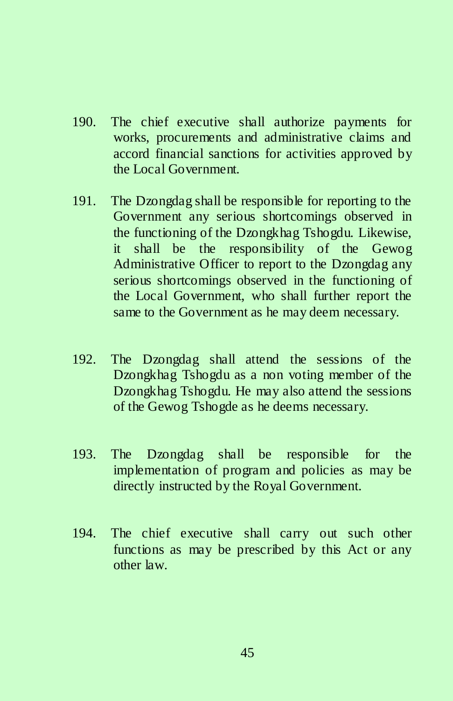- 190. The chief executive shall authorize payments for works, procurements and administrative claims and accord financial sanctions for activities approved by the Local Government.
- 191. The Dzongdag shall be responsible for reporting to the Government any serious shortcomings observed in the functioning of the Dzongkhag Tshogdu. Likewise, it shall be the responsibility of the Gewog Administrative Officer to report to the Dzongdag any serious shortcomings observed in the functioning of the Local Government, who shall further report the same to the Government as he may deem necessary.
- 192. The Dzongdag shall attend the sessions of the Dzongkhag Tshogdu as a non voting member of the Dzongkhag Tshogdu. He may also attend the sessions of the Gewog Tshogde as he deems necessary.
- 193. The Dzongdag shall be responsible for the implementation of program and policies as may be directly instructed by the Royal Government.
- 194. The chief executive shall carry out such other functions as may be prescribed by this Act or any other law.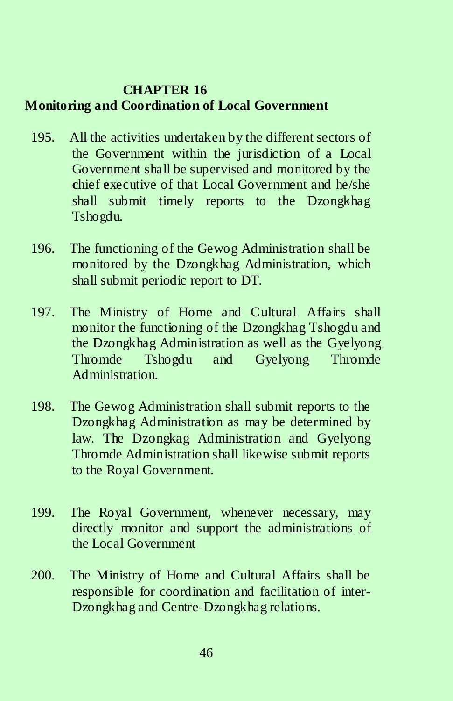# **CHAPTER 16 Monitoring and Coordination of Local Government**

- 195. All the activities undertaken by the different sectors of the Government within the jurisdiction of a Local Government shall be supervised and monitored by the **c**hief **e**xecutive of that Local Government and he/she shall submit timely reports to the Dzongkhag Tshogdu.
- 196. The functioning of the Gewog Administration shall be monitored by the Dzongkhag Administration, which shall submit periodic report to DT.
- 197. The Ministry of Home and Cultural Affairs shall monitor the functioning of the Dzongkhag Tshogdu and the Dzongkhag Administration as well as the Gyelyong Thromde Tshogdu and Gyelyong Thromde Administration.
- 198. The Gewog Administration shall submit reports to the Dzongkhag Administration as may be determined by law. The Dzongkag Administration and Gyelyong Thromde Administration shall likewise submit reports to the Royal Government.
- 199. The Royal Government, whenever necessary, may directly monitor and support the administrations of the Local Government
- 200. The Ministry of Home and Cultural Affairs shall be responsible for coordination and facilitation of inter-Dzongkhag and Centre-Dzongkhag relations.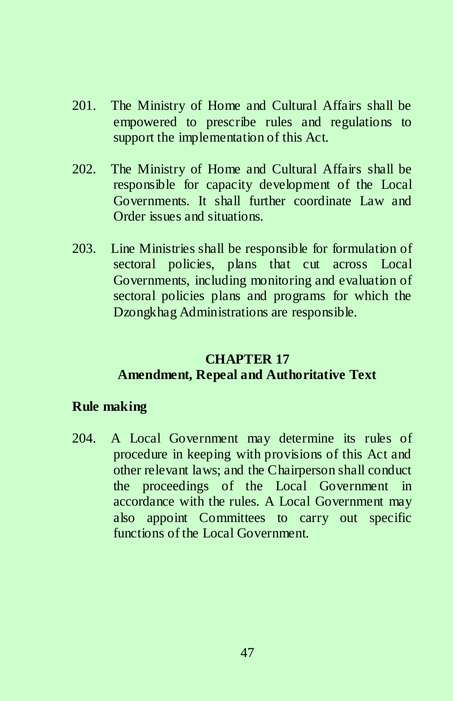- 201. The Ministry of Home and Cultural Affairs shall be empowered to prescribe rules and regulations to support the implementation of this Act.
- 202. The Ministry of Home and Cultural Affairs shall be responsible for capacity development of the Local Governments. It shall further coordinate Law and Order issues and situations.
- 203. Line Ministries shall be responsible for formulation of sectoral policies, plans that cut across Local Governments, including monitoring and evaluation of sectoral policies plans and programs for which the Dzongkhag Administrations are responsible.

# **CHAPTER 17 Amendment, Repeal and Authoritative Text**

# **Rule making**

204. A Local Government may determine its rules of procedure in keeping with provisions of this Act and other relevant laws; and the Chairperson shall conduct the proceedings of the Local Government in accordance with the rules. A Local Government may also appoint Committees to carry out specific functions of the Local Government.